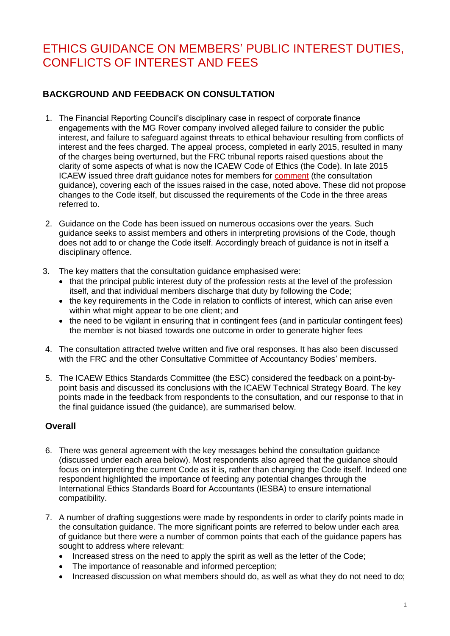# ETHICS GUIDANCE ON MEMBERS' PUBLIC INTEREST DUTIES, CONFLICTS OF INTEREST AND FEES

# **BACKGROUND AND FEEDBACK ON CONSULTATION**

- 1. The Financial Reporting Council's disciplinary case in respect of corporate finance engagements with the MG Rover company involved alleged failure to consider the public interest, and failure to safeguard against threats to ethical behaviour resulting from conflicts of interest and the fees charged. The appeal process, completed in early 2015, resulted in many of the charges being overturned, but the FRC tribunal reports raised questions about the clarity of some aspects of what is now the ICAEW Code of Ethics (the Code). In late 2015 ICAEW issued three draft guidance notes for members for [comment](http://www.icaew.com/en/archive/technical/ethics/consultation-on-guidance-on-aspects-of-the-icaew-code-of-ethics) (the consultation guidance), covering each of the issues raised in the case, noted above. These did not propose changes to the Code itself, but discussed the requirements of the Code in the three areas referred to.
- 2. Guidance on the Code has been issued on numerous occasions over the years. Such guidance seeks to assist members and others in interpreting provisions of the Code, though does not add to or change the Code itself. Accordingly breach of guidance is not in itself a disciplinary offence.
- 3. The key matters that the consultation guidance emphasised were:
	- that the principal public interest duty of the profession rests at the level of the profession itself, and that individual members discharge that duty by following the Code;
	- the key requirements in the Code in relation to conflicts of interest, which can arise even within what might appear to be one client; and
	- the need to be vigilant in ensuring that in contingent fees (and in particular contingent fees) the member is not biased towards one outcome in order to generate higher fees
- 4. The consultation attracted twelve written and five oral responses. It has also been discussed with the FRC and the other Consultative Committee of Accountancy Bodies' members.
- 5. The ICAEW Ethics Standards Committee (the ESC) considered the feedback on a point-bypoint basis and discussed its conclusions with the ICAEW Technical Strategy Board. The key points made in the feedback from respondents to the consultation, and our response to that in the final guidance issued (the guidance), are summarised below.

#### **Overall**

- 6. There was general agreement with the key messages behind the consultation guidance (discussed under each area below). Most respondents also agreed that the guidance should focus on interpreting the current Code as it is, rather than changing the Code itself. Indeed one respondent highlighted the importance of feeding any potential changes through the International Ethics Standards Board for Accountants (IESBA) to ensure international compatibility.
- 7. A number of drafting suggestions were made by respondents in order to clarify points made in the consultation guidance. The more significant points are referred to below under each area of guidance but there were a number of common points that each of the guidance papers has sought to address where relevant:
	- Increased stress on the need to apply the spirit as well as the letter of the Code;
	- The importance of reasonable and informed perception;
	- Increased discussion on what members should do, as well as what they do not need to do;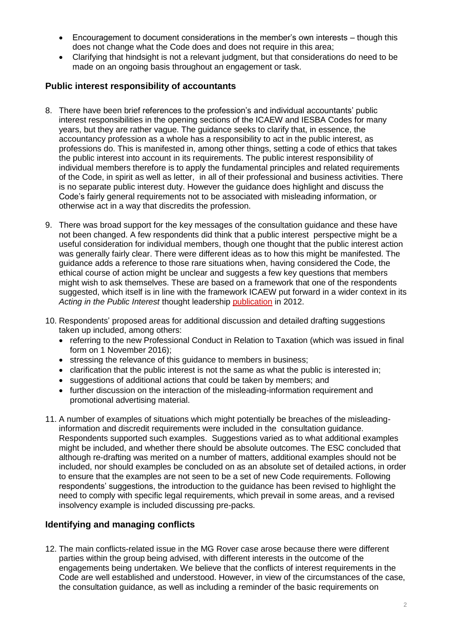- Encouragement to document considerations in the member's own interests though this does not change what the Code does and does not require in this area;
- Clarifying that hindsight is not a relevant judgment, but that considerations do need to be made on an ongoing basis throughout an engagement or task.

### **Public interest responsibility of accountants**

- 8. There have been brief references to the profession's and individual accountants' public interest responsibilities in the opening sections of the ICAEW and IESBA Codes for many years, but they are rather vague. The guidance seeks to clarify that, in essence, the accountancy profession as a whole has a responsibility to act in the public interest, as professions do. This is manifested in, among other things, setting a code of ethics that takes the public interest into account in its requirements. The public interest responsibility of individual members therefore is to apply the fundamental principles and related requirements of the Code, in spirit as well as letter, in all of their professional and business activities. There is no separate public interest duty. However the guidance does highlight and discuss the Code's fairly general requirements not to be associated with misleading information, or otherwise act in a way that discredits the profession.
- 9. There was broad support for the key messages of the consultation guidance and these have not been changed. A few respondents did think that a public interest perspective might be a useful consideration for individual members, though one thought that the public interest action was generally fairly clear. There were different ideas as to how this might be manifested. The guidance adds a reference to those rare situations when, having considered the Code, the ethical course of action might be unclear and suggests a few key questions that members might wish to ask themselves. These are based on a framework that one of the respondents suggested, which itself is in line with the framework ICAEW put forward in a wider context in its *Acting in the Public Interest* thought leadership [publication](http://www.icaew.com/en/technical/ethics/the-public-interest) in 2012.
- 10. Respondents' proposed areas for additional discussion and detailed drafting suggestions taken up included, among others:
	- referring to the new Professional Conduct in Relation to Taxation (which was issued in final form on 1 November 2016);
	- stressing the relevance of this guidance to members in business;
	- clarification that the public interest is not the same as what the public is interested in;
	- suggestions of additional actions that could be taken by members; and
	- further discussion on the interaction of the misleading-information requirement and promotional advertising material.
- 11. A number of examples of situations which might potentially be breaches of the misleadinginformation and discredit requirements were included in the consultation guidance. Respondents supported such examples. Suggestions varied as to what additional examples might be included, and whether there should be absolute outcomes. The ESC concluded that although re-drafting was merited on a number of matters, additional examples should not be included, nor should examples be concluded on as an absolute set of detailed actions, in order to ensure that the examples are not seen to be a set of new Code requirements. Following respondents' suggestions, the introduction to the guidance has been revised to highlight the need to comply with specific legal requirements, which prevail in some areas, and a revised insolvency example is included discussing pre-packs.

#### **Identifying and managing conflicts**

12. The main conflicts-related issue in the MG Rover case arose because there were different parties within the group being advised, with different interests in the outcome of the engagements being undertaken. We believe that the conflicts of interest requirements in the Code are well established and understood. However, in view of the circumstances of the case, the consultation guidance, as well as including a reminder of the basic requirements on